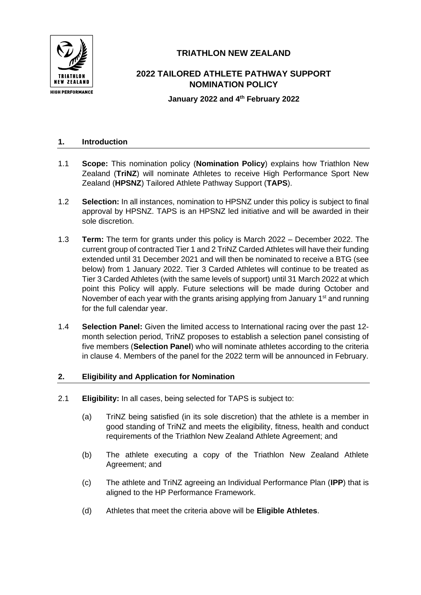

# **TRIATHLON NEW ZEALAND**

# **2022 TAILORED ATHLETE PATHWAY SUPPORT NOMINATION POLICY**

**January 2022 and 4th February 2022**

## **1. Introduction**

- 1.1 **Scope:** This nomination policy (**Nomination Policy**) explains how Triathlon New Zealand (**TriNZ**) will nominate Athletes to receive High Performance Sport New Zealand (**HPSNZ**) Tailored Athlete Pathway Support (**TAPS**).
- 1.2 **Selection:** In all instances, nomination to HPSNZ under this policy is subject to final approval by HPSNZ. TAPS is an HPSNZ led initiative and will be awarded in their sole discretion.
- 1.3 **Term:** The term for grants under this policy is March 2022 December 2022. The current group of contracted Tier 1 and 2 TriNZ Carded Athletes will have their funding extended until 31 December 2021 and will then be nominated to receive a BTG (see below) from 1 January 2022. Tier 3 Carded Athletes will continue to be treated as Tier 3 Carded Athletes (with the same levels of support) until 31 March 2022 at which point this Policy will apply. Future selections will be made during October and November of each year with the grants arising applying from January  $1<sup>st</sup>$  and running for the full calendar year.
- 1.4 **Selection Panel:** Given the limited access to International racing over the past 12 month selection period, TriNZ proposes to establish a selection panel consisting of five members (**Selection Panel**) who will nominate athletes according to the criteria in clause 4. Members of the panel for the 2022 term will be announced in February.

#### **2. Eligibility and Application for Nomination**

- 2.1 **Eligibility:** In all cases, being selected for TAPS is subject to:
	- (a) TriNZ being satisfied (in its sole discretion) that the athlete is a member in good standing of TriNZ and meets the eligibility, fitness, health and conduct requirements of the Triathlon New Zealand Athlete Agreement; and
	- (b) The athlete executing a copy of the Triathlon New Zealand Athlete Agreement; and
	- (c) The athlete and TriNZ agreeing an Individual Performance Plan (**IPP**) that is aligned to the HP Performance Framework.
	- (d) Athletes that meet the criteria above will be **Eligible Athletes**.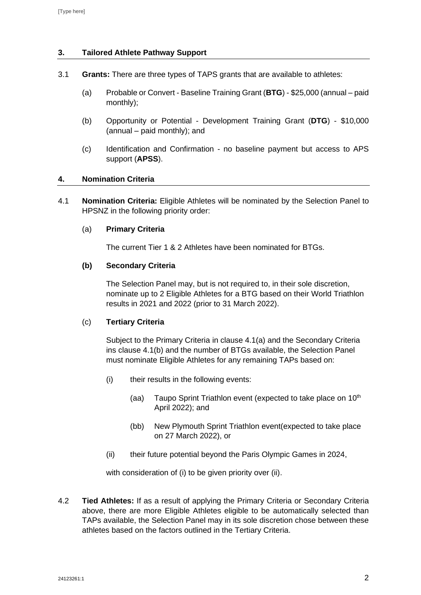# **3. Tailored Athlete Pathway Support**

- 3.1 **Grants:** There are three types of TAPS grants that are available to athletes:
	- (a) Probable or Convert Baseline Training Grant (**BTG**) \$25,000 (annual paid monthly);
	- (b) Opportunity or Potential Development Training Grant (**DTG**) \$10,000 (annual – paid monthly); and
	- (c) Identification and Confirmation no baseline payment but access to APS support (**APSS**).

#### **4. Nomination Criteria**

4.1 **Nomination Criteria:** Eligible Athletes will be nominated by the Selection Panel to HPSNZ in the following priority order:

#### (a) **Primary Criteria**

The current Tier 1 & 2 Athletes have been nominated for BTGs.

#### **(b) Secondary Criteria**

The Selection Panel may, but is not required to, in their sole discretion, nominate up to 2 Eligible Athletes for a BTG based on their World Triathlon results in 2021 and 2022 (prior to 31 March 2022).

#### (c) **Tertiary Criteria**

Subject to the Primary Criteria in clause 4.1(a) and the Secondary Criteria ins clause 4.1(b) and the number of BTGs available, the Selection Panel must nominate Eligible Athletes for any remaining TAPs based on:

- (i) their results in the following events:
	- (aa) Taupo Sprint Triathlon event (expected to take place on 10<sup>th</sup> April 2022); and
	- (bb) New Plymouth Sprint Triathlon event(expected to take place on 27 March 2022), or
- (ii) their future potential beyond the Paris Olympic Games in 2024,

with consideration of (i) to be given priority over (ii).

4.2 **Tied Athletes:** If as a result of applying the Primary Criteria or Secondary Criteria above, there are more Eligible Athletes eligible to be automatically selected than TAPs available, the Selection Panel may in its sole discretion chose between these athletes based on the factors outlined in the Tertiary Criteria.